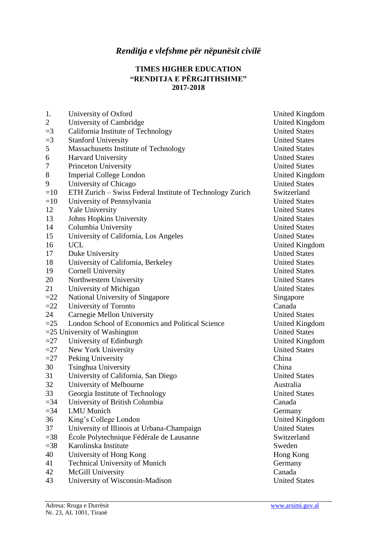## **TIMES HIGHER EDUCATION "RENDITJA E PËRGJITHSHME" 2017-2018**

| 1.             | University of Oxford                                      | <b>United Kingdom</b> |
|----------------|-----------------------------------------------------------|-----------------------|
| $\overline{2}$ | University of Cambridge                                   | <b>United Kingdom</b> |
| $=$ 3          | California Institute of Technology                        | <b>United States</b>  |
| $=3$           | <b>Stanford University</b>                                | <b>United States</b>  |
| 5              | Massachusetts Institute of Technology                     | <b>United States</b>  |
| 6              | Harvard University                                        | <b>United States</b>  |
| $\tau$         | Princeton University                                      | <b>United States</b>  |
| 8              | <b>Imperial College London</b>                            | United Kingdom        |
| 9              | University of Chicago                                     | <b>United States</b>  |
| $=10$          | ETH Zurich – Swiss Federal Institute of Technology Zurich | Switzerland           |
| $=10$          | University of Pennsylvania                                | <b>United States</b>  |
| 12             | <b>Yale University</b>                                    | <b>United States</b>  |
| 13             | Johns Hopkins University                                  | <b>United States</b>  |
| 14             | Columbia University                                       | <b>United States</b>  |
| 15             | University of California, Los Angeles                     | <b>United States</b>  |
| 16             | <b>UCL</b>                                                | United Kingdom        |
| 17             | Duke University                                           | <b>United States</b>  |
| 18             | University of California, Berkeley                        | <b>United States</b>  |
| 19             | <b>Cornell University</b>                                 | <b>United States</b>  |
| 20             | Northwestern University                                   | <b>United States</b>  |
| 21             | University of Michigan                                    | <b>United States</b>  |
| $=22$          | National University of Singapore                          | Singapore             |
| $=22$          | University of Toronto                                     | Canada                |
| 24             | Carnegie Mellon University                                | <b>United States</b>  |
| $=25$          | London School of Economics and Political Science          | United Kingdom        |
|                | $=$ 25 University of Washington                           | <b>United States</b>  |
| $=27$          | University of Edinburgh                                   | United Kingdom        |
| $=27$          | New York University                                       | <b>United States</b>  |
| $=27$          | Peking University                                         | China                 |
| 30             | Tsinghua University                                       | China                 |
| 31             | University of California, San Diego                       | <b>United States</b>  |
| 32             | University of Melbourne                                   | Australia             |
| 33             | Georgia Institute of Technology                           | <b>United States</b>  |
| $=$ 34         | University of British Columbia                            | Canada                |
| $=34$          | <b>LMU</b> Munich                                         | Germany               |
| 36             | King's College London                                     | <b>United Kingdom</b> |
| 37             | University of Illinois at Urbana-Champaign                | <b>United States</b>  |
| $=38$          | École Polytechnique Fédérale de Lausanne                  | Switzerland           |
| $=38$          | Karolinska Institute                                      | Sweden                |
| 40             | University of Hong Kong                                   | Hong Kong             |
| 41             | <b>Technical University of Munich</b>                     | Germany               |
| 42             | McGill University                                         | Canada                |
| 43             | University of Wisconsin-Madison                           | <b>United States</b>  |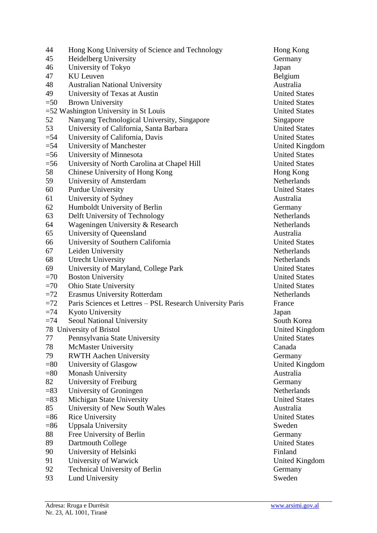| 44     | Hong Kong University of Science and Technology            | Hong Ko          |
|--------|-----------------------------------------------------------|------------------|
| 45     | Heidelberg University                                     | Germany          |
| 46     | University of Tokyo                                       | Japan            |
| 47     | <b>KU</b> Leuven                                          | Belgium          |
| 48     | <b>Australian National University</b>                     | Australia        |
| 49     | University of Texas at Austin                             | United St        |
| $=50$  | <b>Brown University</b>                                   | United St        |
|        | $=$ 52 Washington University in St Louis                  | United St        |
| 52     | Nanyang Technological University, Singapore               | Singapor         |
| 53     | University of California, Santa Barbara                   | United St        |
| $=$ 54 | University of California, Davis                           | United St        |
| $=$ 54 | University of Manchester                                  | United K         |
| $=$ 56 | University of Minnesota                                   | United St        |
| $=$ 56 | University of North Carolina at Chapel Hill               | United St        |
| 58     | Chinese University of Hong Kong                           | Hong Ko          |
| 59     | University of Amsterdam                                   | Netherlar        |
| 60     | Purdue University                                         | United St        |
| 61     | University of Sydney                                      | Australia        |
| 62     | Humboldt University of Berlin                             | Germany          |
| 63     | Delft University of Technology                            | Netherlar        |
| 64     | Wageningen University & Research                          | Netherlar        |
| 65     | University of Queensland                                  | Australia        |
| 66     | University of Southern California                         | United St        |
| 67     | Leiden University                                         | Netherlar        |
| 68     | <b>Utrecht University</b>                                 | Netherlar        |
| 69     | University of Maryland, College Park                      | United St        |
| $=70$  | <b>Boston University</b>                                  | United St        |
| $=70$  | <b>Ohio State University</b>                              | United St        |
| $=72$  | <b>Erasmus University Rotterdam</b>                       | Netherlar        |
| $=72$  | Paris Sciences et Lettres - PSL Research University Paris | France           |
| $=74$  | Kyoto University                                          | Japan            |
| $=74$  | Seoul National University                                 | South Ko         |
|        | 78 University of Bristol                                  | United K         |
| 77     | Pennsylvania State University                             | United St        |
| 78     | McMaster University                                       | Canada           |
| 79     | <b>RWTH Aachen University</b>                             | Germany          |
| $= 80$ | University of Glasgow                                     | United K         |
| $= 80$ | <b>Monash University</b>                                  | Australia        |
| 82     | University of Freiburg                                    | Germany          |
| $= 83$ | University of Groningen                                   | Netherlar        |
| $= 83$ | Michigan State University                                 | United St        |
| 85     | University of New South Wales                             | Australia        |
| $= 86$ | <b>Rice University</b>                                    | <b>United St</b> |
| $= 86$ | Uppsala University                                        | Sweden           |
| 88     | Free University of Berlin                                 | Germany          |
| 89     | Dartmouth College                                         | United St        |
| 90     | University of Helsinki                                    | Finland          |
| 91     | University of Warwick                                     | United K         |
| 92     | <b>Technical University of Berlin</b>                     | Germany          |
| 93     | <b>Lund University</b>                                    | Sweden           |

Hong Kong Germany<br>Japan **United States** United States United States Singapore United States United States United Kingdom United States United States Hong Kong Netherlands **United States** Netherlands Netherlands United States Netherlands Netherlands United States United States United States Netherlands<br>v Paris France South Korea United Kingdom **United States** Germany United Kingdom Netherlands United States United States **United States** United Kingdom Germany<br>Sweden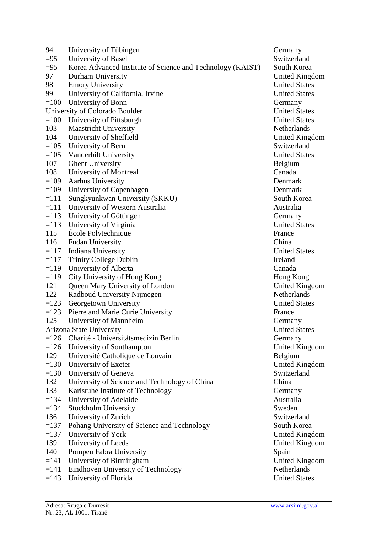| 94     | University of Tübingen                                     | Germany          |
|--------|------------------------------------------------------------|------------------|
| $=95$  | University of Basel                                        | Switzerla        |
| $=95$  | Korea Advanced Institute of Science and Technology (KAIST) | South Ko         |
| 97     | Durham University                                          | United K         |
| 98     | <b>Emory University</b>                                    | United St        |
| 99     | University of California, Irvine                           | United St        |
| $=100$ | University of Bonn                                         | Germany          |
|        | University of Colorado Boulder                             | United St        |
| $=100$ | University of Pittsburgh                                   | United St        |
| 103    | <b>Maastricht University</b>                               | Netherlar        |
| 104    | University of Sheffield                                    | United K         |
| $=105$ | University of Bern                                         | Switzerla        |
| $=105$ | Vanderbilt University                                      | United St        |
| 107    | <b>Ghent University</b>                                    | Belgium          |
| 108    | University of Montreal                                     | Canada           |
| $=109$ | <b>Aarhus University</b>                                   | Denmark          |
| $=109$ | University of Copenhagen                                   | Denmark          |
| $=111$ | Sungkyunkwan University (SKKU)                             | South Ko         |
| $=111$ | University of Western Australia                            | Australia        |
| $=113$ | University of Göttingen                                    | Germany          |
| $=113$ | University of Virginia                                     | <b>United St</b> |
| 115    | École Polytechnique                                        | France           |
| 116    | <b>Fudan University</b>                                    | China            |
| $=117$ | Indiana University                                         | United St        |
| $=117$ | <b>Trinity College Dublin</b>                              | Ireland          |
| $=119$ | University of Alberta                                      | Canada           |
| $=119$ | City University of Hong Kong                               | Hong Ko          |
| 121    | Queen Mary University of London                            | United K         |
| 122    | Radboud University Nijmegen                                | Netherlar        |
| $=123$ | Georgetown University                                      | United St        |
| $=123$ | Pierre and Marie Curie University                          | France           |
| 125    | University of Mannheim                                     | Germany          |
|        | Arizona State University                                   | United St        |
| $=126$ | Charité - Universitätsmedizin Berlin                       | Germany          |
| $=126$ | University of Southampton                                  | United K         |
| 129    | Université Catholique de Louvain                           | Belgium          |
| $=130$ | University of Exeter                                       | United K         |
| $=130$ | University of Geneva                                       | Switzerla        |
| 132    | University of Science and Technology of China              | China            |
| 133    | Karlsruhe Institute of Technology                          | Germany          |
| $=134$ | University of Adelaide                                     | Australia        |
| $=134$ | Stockholm University                                       | Sweden           |
| 136    | University of Zurich                                       | Switzerla        |
| $=137$ | Pohang University of Science and Technology                | South Ko         |
| $=137$ | University of York                                         | United K         |
| 139    | University of Leeds                                        | United K         |
| 140    | Pompeu Fabra University                                    | Spain            |
| $=141$ | University of Birmingham                                   | United K         |
| $=141$ | Eindhoven University of Technology                         | Netherlar        |
| $=143$ | University of Florida                                      | United St        |

Switzerland South Korea United Kingdom **United States** United States United States United States Netherlands United Kingdom Switzerland United States South Korea United States United States Hong Kong United Kingdom Netherlands United States Germany **United States** Germany United Kingdom United Kingdom Switzerland Switzerland South Korea United Kingdom United Kingdom United Kingdom Netherlands<br>United States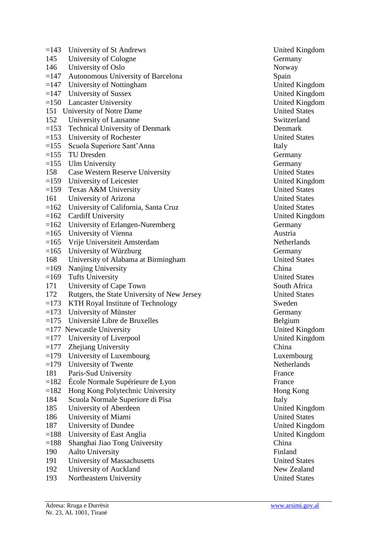| $=143$ | University of St Andrews                    | United K  |
|--------|---------------------------------------------|-----------|
| 145    | University of Cologne                       | Germany   |
| 146    | University of Oslo                          | Norway    |
| $=147$ | Autonomous University of Barcelona          | Spain     |
| $=147$ | University of Nottingham                    | United K  |
|        | $=147$ University of Sussex                 | United K  |
|        | $=150$ Lancaster University                 | United K  |
|        | 151 University of Notre Dame                | United St |
| 152    | University of Lausanne                      | Switzerla |
| $=153$ | <b>Technical University of Denmark</b>      | Denmark   |
| $=153$ | University of Rochester                     | United St |
| $=155$ | Scuola Superiore Sant'Anna                  | Italy     |
|        | $=155$ TU Dresden                           | Germany   |
|        | $=155$ Ulm University                       | Germany   |
| 158    | Case Western Reserve University             | United St |
|        | $=159$ University of Leicester              | United K  |
| $=159$ | Texas A&M University                        | United St |
| 161    | University of Arizona                       | United St |
| $=162$ | University of California, Santa Cruz        | United St |
| $=162$ | <b>Cardiff University</b>                   | United K  |
| $=162$ | University of Erlangen-Nuremberg            | Germany   |
| $=165$ | University of Vienna                        | Austria   |
| $=165$ | Vrije Universiteit Amsterdam                | Netherlar |
| $=165$ | University of Würzburg                      | Germany   |
| 168    | University of Alabama at Birmingham         | United St |
| $=169$ | Nanjing University                          | China     |
| $=169$ | <b>Tufts University</b>                     | United St |
| 171    | University of Cape Town                     | South Af  |
| 172    | Rutgers, the State University of New Jersey | United St |
|        | $=173$ KTH Royal Institute of Technology    | Sweden    |
|        | $=173$ University of Münster                | Germany   |
|        | $=175$ Université Libre de Bruxelles        | Belgium   |
|        | $=177$ Newcastle University                 | United K  |
| $=177$ | University of Liverpool                     | United K  |
| $=177$ | Zhejiang University                         | China     |
| $=179$ | University of Luxembourg                    | Luxembo   |
| $=179$ | University of Twente                        | Netherlar |
| 181    | Paris-Sud University                        | France    |
| $=182$ | École Normale Supérieure de Lyon            | France    |
| $=182$ | Hong Kong Polytechnic University            | Hong Ko   |
| 184    | Scuola Normale Superiore di Pisa            | Italy     |
| 185    | University of Aberdeen                      | United K  |
| 186    | University of Miami                         | United St |
| 187    | University of Dundee                        | United K  |
| $=188$ | University of East Anglia                   | United K  |
| $=188$ | Shanghai Jiao Tong University               | China     |
| 190    | <b>Aalto University</b>                     | Finland   |
| 191    | University of Massachusetts                 | United St |
| 192    | University of Auckland                      | New Zea   |
|        |                                             | $1 \cap$  |

193 Northeastern University United States

United Kingdom United Kingdom United Kingdom United Kingdom **United States** Switzerland United States Germany **United States** United Kingdom United States **United States** United States United Kingdom Germany Netherlands United States **United States** South Africa 172 Rutgers (The States United States Germany United Kingdom United Kingdom Luxembourg **Netherlands** Hong Kong United Kingdom **United States** United Kingdom United Kingdom **United States** New Zealand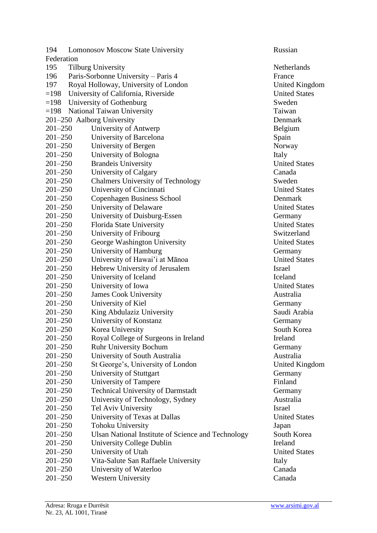| 194         | <b>Lomonosov Moscow State University</b>           | Russian               |  |  |
|-------------|----------------------------------------------------|-----------------------|--|--|
| Federation  |                                                    |                       |  |  |
| 195         | <b>Tilburg University</b>                          | <b>Netherlands</b>    |  |  |
| 196         | Paris-Sorbonne University – Paris 4                | France                |  |  |
| 197         | Royal Holloway, University of London               | <b>United Kingdom</b> |  |  |
| $=198$      | University of California, Riverside                | <b>United States</b>  |  |  |
| $=198$      | University of Gothenburg                           | Sweden                |  |  |
| $=198$      | National Taiwan University                         | Taiwan                |  |  |
|             | 201-250 Aalborg University                         | Denmark               |  |  |
| $201 - 250$ | University of Antwerp                              | Belgium               |  |  |
| $201 - 250$ | University of Barcelona                            | Spain                 |  |  |
| $201 - 250$ | University of Bergen                               | Norway                |  |  |
| $201 - 250$ | University of Bologna                              | Italy                 |  |  |
| $201 - 250$ | <b>Brandeis University</b>                         | <b>United States</b>  |  |  |
| $201 - 250$ | University of Calgary                              | Canada                |  |  |
| $201 - 250$ | Chalmers University of Technology                  | Sweden                |  |  |
| $201 - 250$ | University of Cincinnati                           | <b>United States</b>  |  |  |
| $201 - 250$ | <b>Copenhagen Business School</b>                  | Denmark               |  |  |
| $201 - 250$ | University of Delaware                             | <b>United States</b>  |  |  |
| $201 - 250$ | University of Duisburg-Essen                       | Germany               |  |  |
| $201 - 250$ | Florida State University                           | <b>United States</b>  |  |  |
| $201 - 250$ | University of Fribourg                             | Switzerland           |  |  |
| $201 - 250$ | George Washington University                       | <b>United States</b>  |  |  |
| $201 - 250$ | University of Hamburg                              | Germany               |  |  |
| $201 - 250$ | University of Hawai'i at Mānoa                     | <b>United States</b>  |  |  |
| $201 - 250$ | Hebrew University of Jerusalem                     | Israel                |  |  |
| $201 - 250$ | University of Iceland                              | Iceland               |  |  |
| $201 - 250$ | University of Iowa                                 | <b>United States</b>  |  |  |
| $201 - 250$ | <b>James Cook University</b>                       | Australia             |  |  |
| $201 - 250$ | University of Kiel                                 | Germany               |  |  |
| $201 - 250$ | King Abdulaziz University                          | Saudi Arabia          |  |  |
| $201 - 250$ | University of Konstanz                             | Germany               |  |  |
| $201 - 250$ | Korea University                                   | South Korea           |  |  |
| $201 - 250$ | Royal College of Surgeons in Ireland               | Ireland               |  |  |
| $201 - 250$ | <b>Ruhr University Bochum</b>                      | Germany               |  |  |
| $201 - 250$ | University of South Australia                      | Australia             |  |  |
| $201 - 250$ | St George's, University of London                  | <b>United Kingdom</b> |  |  |
| $201 - 250$ | University of Stuttgart                            | Germany               |  |  |
| $201 - 250$ | University of Tampere                              | Finland               |  |  |
| $201 - 250$ | <b>Technical University of Darmstadt</b>           | Germany               |  |  |
| $201 - 250$ | University of Technology, Sydney                   | Australia             |  |  |
| $201 - 250$ | Tel Aviv University                                | <b>Israel</b>         |  |  |
| $201 - 250$ | University of Texas at Dallas                      | <b>United States</b>  |  |  |
| $201 - 250$ | Tohoku University                                  | Japan                 |  |  |
| $201 - 250$ | Ulsan National Institute of Science and Technology | South Korea           |  |  |
| $201 - 250$ | University College Dublin                          | Ireland               |  |  |
| $201 - 250$ | University of Utah                                 | <b>United States</b>  |  |  |
| $201 - 250$ | Vita-Salute San Raffaele University                | Italy                 |  |  |
| $201 - 250$ | University of Waterloo                             | Canada                |  |  |
| $201 - 250$ | <b>Western University</b>                          | Canada                |  |  |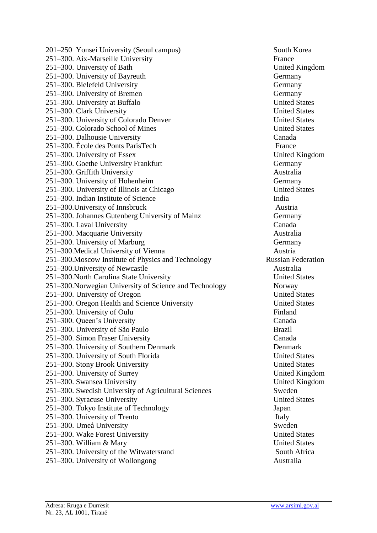201–250 Yonsei University (Seoul campus) South Korea 251–300. Aix-Marseille University France 251–300. University of Bath United Kingdom 251–300. University of Bayreuth Germany 251–300. Bielefeld University Germany 251–300. University of Bremen Germany 251–300. University at Buffalo United States 251–300. Clark University United States 251–300. University of Colorado Denver United States 251–300. Colorado School of Mines United States 251–300. Dalhousie University Canada 251–300. École des Ponts ParisTech France 251–300. University of Essex United Kingdom 251–300. Goethe University Frankfurt Germany 251–300. Griffith University Australia 251–300. University of Hohenheim Germany 251–300. University of Illinois at Chicago United States 251–300. Indian Institute of Science India 251–300.University of Innsbruck Austria 251–300. Johannes Gutenberg University of Mainz Germany 251–300. Laval University Canada 251–300. Macquarie University Australia 251–300. University of Marburg Germany 251–300. Medical University of Vienna Austria 251–300.Moscow Institute of Physics and Technology Russian Federation 251–300.University of Newcastle Australia 251–300.North Carolina State University United States 251–300.Norwegian University of Science and Technology Norway 251–300. University of Oregon United States 251–300. Oregon Health and Science University United States 251–300. University of Oulu Finland 251–300. Queen's University Canada 251–300. University of São Paulo Brazil 251–300. Simon Fraser University Canada 251–300. University of Southern Denmark Denmark 251–300. University of South Florida United States 251–300. Stony Brook University United States 251–300. University of Surrey United Kingdom 251–300. Swansea University United Kingdom 251–300. Swedish University of Agricultural Sciences Sweden 251–300. Syracuse University United States 251–300. Tokyo Institute of Technology Japan 251–300. University of Trento Italy 251–300. Umeå University Sweden 251–300. Wake Forest University United States 251–300. William & Mary United States 251–300. University of the Witwatersrand South Africa 251–300. University of Wollongong Australia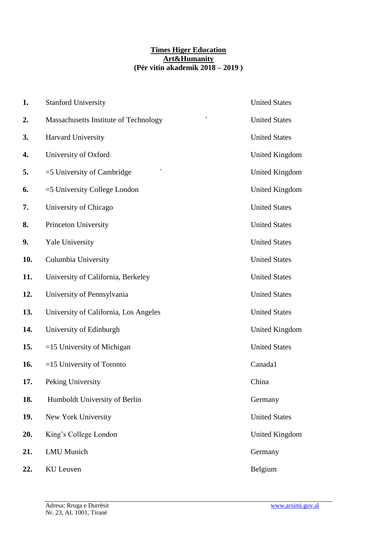#### **Times Higer Education Art&Humanity (Për vitin akademik 2018 – 2019 )**

| 1.  | <b>Stanford University</b>                                        | <b>United States</b>  |
|-----|-------------------------------------------------------------------|-----------------------|
| 2.  | $\overline{\phantom{0}}$<br>Massachusetts Institute of Technology | <b>United States</b>  |
| 3.  | Harvard University                                                | <b>United States</b>  |
| 4.  | University of Oxford                                              | <b>United Kingdom</b> |
| 5.  | $=$ 5 University of Cambridge                                     | <b>United Kingdom</b> |
| 6.  | $=$ 5 University College London                                   | <b>United Kingdom</b> |
| 7.  | University of Chicago                                             | <b>United States</b>  |
| 8.  | Princeton University                                              | <b>United States</b>  |
| 9.  | Yale University                                                   | <b>United States</b>  |
| 10. | Columbia University                                               | <b>United States</b>  |
| 11. | University of California, Berkeley                                | <b>United States</b>  |
| 12. | University of Pennsylvania                                        | <b>United States</b>  |
| 13. | University of California, Los Angeles                             | <b>United States</b>  |
| 14. | University of Edinburgh                                           | <b>United Kingdom</b> |
| 15. | $=15$ University of Michigan                                      | <b>United States</b>  |
| 16. | $=15$ University of Toronto                                       | Canada1               |
| 17. | Peking University                                                 | China                 |
| 18. | Humboldt University of Berlin                                     | Germany               |
| 19. | New York University                                               | <b>United States</b>  |
| 20. | King's College London                                             | <b>United Kingdom</b> |
| 21. | <b>LMU</b> Munich                                                 | Germany               |
| 22. | <b>KU</b> Leuven                                                  | Belgium               |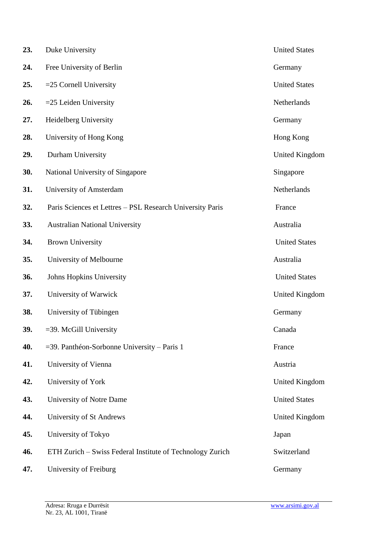| 23. | Duke University                                           | <b>United States</b>  |
|-----|-----------------------------------------------------------|-----------------------|
| 24. | Free University of Berlin                                 | Germany               |
| 25. | $=$ 25 Cornell University                                 | <b>United States</b>  |
| 26. | $=$ 25 Leiden University                                  | Netherlands           |
| 27. | Heidelberg University                                     | Germany               |
| 28. | University of Hong Kong                                   | Hong Kong             |
| 29. | Durham University                                         | <b>United Kingdom</b> |
| 30. | National University of Singapore                          | Singapore             |
| 31. | University of Amsterdam                                   | Netherlands           |
| 32. | Paris Sciences et Lettres – PSL Research University Paris | France                |
| 33. | <b>Australian National University</b>                     | Australia             |
| 34. | <b>Brown University</b>                                   | <b>United States</b>  |
| 35. | University of Melbourne                                   | Australia             |
| 36. | Johns Hopkins University                                  | <b>United States</b>  |
| 37. | University of Warwick                                     | United Kingdom        |
| 38. | University of Tübingen                                    | Germany               |
| 39. | $=$ 39. McGill University                                 | Canada                |
| 40. | =39. Panthéon-Sorbonne University – Paris 1               | France                |
| 41. | University of Vienna                                      | Austria               |
| 42. | University of York                                        | United Kingdom        |
| 43. | University of Notre Dame                                  | <b>United States</b>  |
| 44. | University of St Andrews                                  | United Kingdom        |
| 45. | University of Tokyo                                       | Japan                 |
| 46. | ETH Zurich - Swiss Federal Institute of Technology Zurich | Switzerland           |
| 47. | University of Freiburg                                    | Germany               |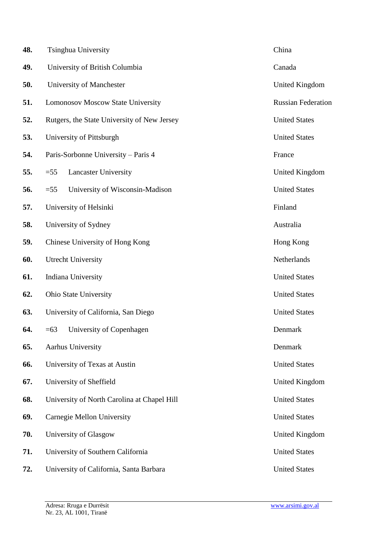| 48. | <b>Tsinghua University</b>                  | China                     |
|-----|---------------------------------------------|---------------------------|
| 49. | University of British Columbia              | Canada                    |
| 50. | University of Manchester                    | United Kingdom            |
| 51. | Lomonosov Moscow State University           | <b>Russian Federation</b> |
| 52. | Rutgers, the State University of New Jersey | <b>United States</b>      |
| 53. | University of Pittsburgh                    | <b>United States</b>      |
| 54. | Paris-Sorbonne University - Paris 4         | France                    |
| 55. | $=55$<br><b>Lancaster University</b>        | United Kingdom            |
| 56. | $=55$<br>University of Wisconsin-Madison    | <b>United States</b>      |
| 57. | University of Helsinki                      | Finland                   |
| 58. | University of Sydney                        | Australia                 |
| 59. | Chinese University of Hong Kong             | Hong Kong                 |
| 60. | <b>Utrecht University</b>                   | Netherlands               |
| 61. | Indiana University                          | <b>United States</b>      |
| 62. | <b>Ohio State University</b>                | <b>United States</b>      |
| 63. | University of California, San Diego         | <b>United States</b>      |
| 64. | University of Copenhagen<br>$=63$           | Denmark                   |
| 65. | Aarhus University                           | Denmark                   |
| 66. | University of Texas at Austin               | <b>United States</b>      |
| 67. | University of Sheffield                     | United Kingdom            |
| 68. | University of North Carolina at Chapel Hill | <b>United States</b>      |
| 69. | Carnegie Mellon University                  | <b>United States</b>      |
| 70. | University of Glasgow                       | United Kingdom            |
| 71. | University of Southern California           | <b>United States</b>      |
| 72. | University of California, Santa Barbara     | <b>United States</b>      |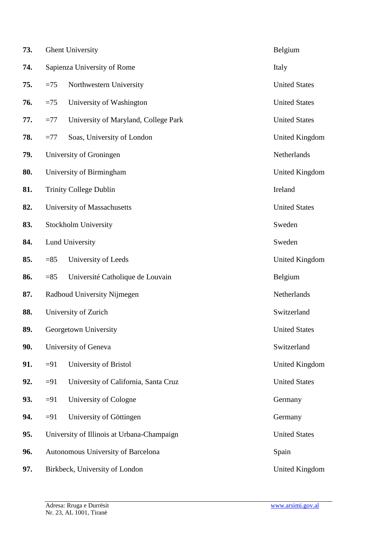| 73. |        | <b>Ghent University</b>                    | Belgium               |
|-----|--------|--------------------------------------------|-----------------------|
| 74. |        | Sapienza University of Rome                | Italy                 |
| 75. | $=75$  | Northwestern University                    | <b>United States</b>  |
| 76. | $=75$  | University of Washington                   | <b>United States</b>  |
| 77. | $=77$  | University of Maryland, College Park       | <b>United States</b>  |
| 78. | $=77$  | Soas, University of London                 | <b>United Kingdom</b> |
| 79. |        | University of Groningen                    | Netherlands           |
| 80. |        | University of Birmingham                   | United Kingdom        |
| 81. |        | <b>Trinity College Dublin</b>              | Ireland               |
| 82. |        | University of Massachusetts                | <b>United States</b>  |
| 83. |        | Stockholm University                       | Sweden                |
| 84. |        | Lund University                            | Sweden                |
| 85. | $=85$  | University of Leeds                        | United Kingdom        |
| 86. | $= 85$ | Université Catholique de Louvain           | Belgium               |
| 87. |        | Radboud University Nijmegen                | Netherlands           |
| 88. |        | University of Zurich                       | Switzerland           |
| 89. |        | Georgetown University                      | <b>United States</b>  |
| 90. |        | University of Geneva                       | Switzerland           |
| 91. | $=91$  | University of Bristol                      | <b>United Kingdom</b> |
| 92. | $=91$  | University of California, Santa Cruz       | <b>United States</b>  |
| 93. | $=91$  | University of Cologne                      | Germany               |
| 94. | $=91$  | University of Göttingen                    | Germany               |
| 95. |        | University of Illinois at Urbana-Champaign | <b>United States</b>  |
| 96. |        | Autonomous University of Barcelona         | Spain                 |
| 97. |        | Birkbeck, University of London             | United Kingdom        |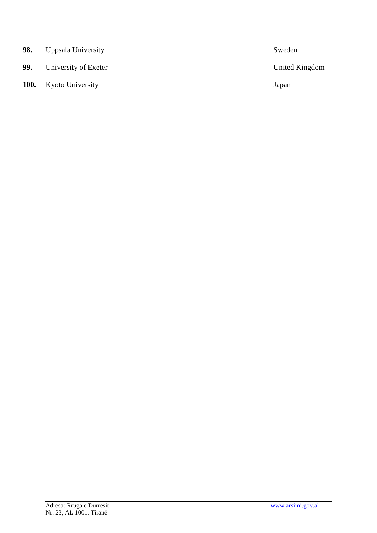| 98. | Uppsala University           | Sweden                |
|-----|------------------------------|-----------------------|
| 99. | University of Exeter         | <b>United Kingdom</b> |
|     | <b>100.</b> Kyoto University | Japan                 |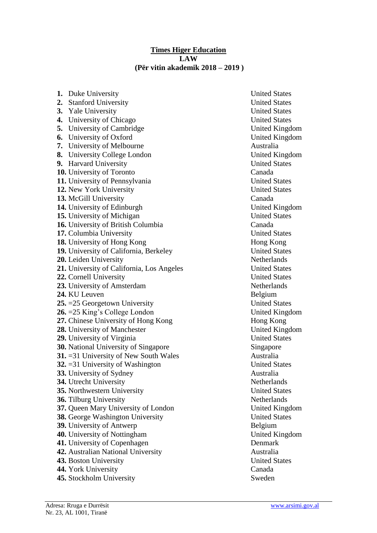#### **Times Higer Education LAW (Për vitin akademik 2018 – 2019 )**

| 1. Duke University                                                 | <b>United States</b>                   |
|--------------------------------------------------------------------|----------------------------------------|
| 2. Stanford University                                             | <b>United States</b>                   |
| 3. Yale University                                                 | <b>United States</b>                   |
| 4. University of Chicago                                           | <b>United States</b>                   |
| 5. University of Cambridge                                         | United Kingdom                         |
| 6. University of Oxford                                            | United Kingdom                         |
| 7. University of Melbourne                                         | Australia                              |
| 8. University College London                                       | United Kingdom                         |
| 9. Harvard University                                              | <b>United States</b>                   |
| 10. University of Toronto                                          | Canada                                 |
| 11. University of Pennsylvania                                     | <b>United States</b>                   |
| 12. New York University                                            | <b>United States</b>                   |
| 13. McGill University                                              | Canada                                 |
| 14. University of Edinburgh                                        | United Kingdom                         |
| 15. University of Michigan                                         | <b>United States</b>                   |
| 16. University of British Columbia                                 | Canada                                 |
| 17. Columbia University                                            | <b>United States</b>                   |
| 18. University of Hong Kong                                        | Hong Kong                              |
| 19. University of California, Berkeley                             | <b>United States</b>                   |
| 20. Leiden University                                              | Netherlands                            |
| 21. University of California, Los Angeles                          | <b>United States</b>                   |
| 22. Cornell University                                             | <b>United States</b>                   |
| 23. University of Amsterdam                                        | Netherlands                            |
| 24. KU Leuven                                                      | Belgium                                |
| $25. = 25$ Georgetown University                                   | <b>United States</b>                   |
| <b>26.</b> $=$ 25 King's College London                            | United Kingdom                         |
| 27. Chinese University of Hong Kong                                | Hong Kong                              |
| 28. University of Manchester                                       | <b>United Kingdom</b>                  |
| 29. University of Virginia                                         | <b>United States</b>                   |
| <b>30.</b> National University of Singapore                        | Singapore                              |
| 31. = 31 University of New South Wales                             | Australia                              |
| 32. $=$ 31 University of Washington                                | <b>United States</b>                   |
| <b>33.</b> University of Sydney                                    | Australia                              |
| 34. Utrecht University                                             | Netherlands                            |
| 35. Northwestern University                                        | <b>United States</b>                   |
| 36. Tilburg University                                             | Netherlands                            |
| 37. Queen Mary University of London                                | United Kingdom<br><b>United States</b> |
| 38. George Washington University                                   |                                        |
| 39. University of Antwerp                                          | Belgium                                |
| 40. University of Nottingham                                       | United Kingdom<br>Denmark              |
| 41. University of Copenhagen<br>42. Australian National University | Australia                              |
| 43. Boston University                                              | <b>United States</b>                   |
| 44. York University                                                | Canada                                 |
| 45. Stockholm University                                           | Sweden                                 |
|                                                                    |                                        |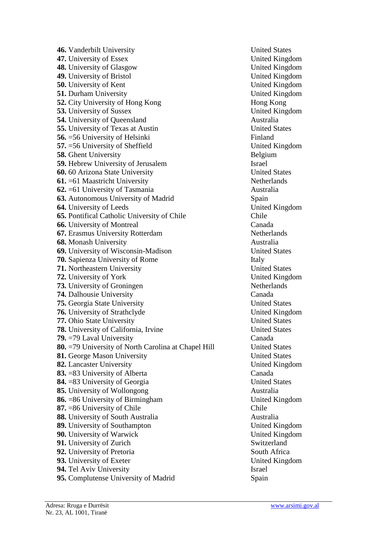**46.** Vanderbilt University United States **47.** University of Essex United Kingdom<br> **48.** University of Glasgow United Kingdom<br>
United Kingdom **48.** University of Glasgow **49.** University of Bristol United Kingdom **50.** University of Kent United Kingdom<br> **51.** Durham University United Kingdom<br>
United Kingdom **51.** Durham University **52.** City University of Hong Kong **Hong Kong 53.** University of Sussex United Kingdom **54.** University of Queensland Australia **55.** University of Texas at Austin United States **56.** =56 University of Helsinki Finland **57.** =56 University of Sheffield United Kingdom **58.** Ghent University Belgium **59.** Hebrew University of Jerusalem Israel **60.** 60 Arizona State University United States **61.** =61 Maastricht University Netherlands **62.** =61 University of Tasmania Australia **63.** Autonomous University of Madrid Spain **64.** University of Leeds United Kingdom **65.** Pontifical Catholic University of Chile Chile Chile **66.** University of Montreal Canada **67.** Erasmus University Rotterdam Netherlands **68.** Monash University Australia **69.** University of Wisconsin-Madison United States **70.** Sapienza University of Rome Italy **71.** Northeastern University United States **72.** University of York United Kingdom **73.** University of Groningen Netherlands **74.** Dalhousie University Canada **75.** Georgia State University United States **76.** University of Strathclyde United Kingdom **77.** Ohio State University United States **78.** University of California, Irvine United States **79.** =79 Laval University Canada **80.** =79 University of North Carolina at Chapel Hill United States **81.** George Mason University United States **82.** Lancaster University United Kingdom **83.**  $=83$  University of Alberta Canada **84.**  $= 83$  University of Georgia United States 85. University of Wollongong Australia **86.** =86 University of Birmingham United Kingdom **87.** =86 University of Chile Chile **88.** University of South Australia Australia **89.** University of Southampton United Kingdom **90.** University of Warwick United Kingdom **91.** University of Zurich Switzerland<br> **92.** University of Pretoria South Africa **92.** University of Pretoria **93.** University of Exeter United Kingdom **94.** Tel Aviv University Israel **95.** Complutense University of Madrid Spain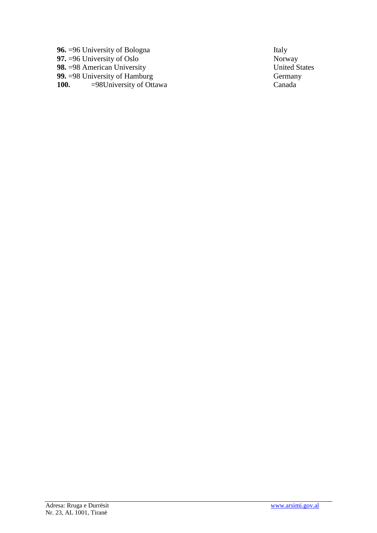**96.** =96 University of Bologna Italy<br> **97.** =96 University of Oslo<br>
Norway **97.** =96 University of Oslo Norway<br> **98.** =98 American University United States **98.** =98 American University United States United States United States United States United States United States United States Sermany **99.** =98 University of Hamburg Germany<br> **100.** =98 University of Ottawa Canada Canada =98University of Ottawa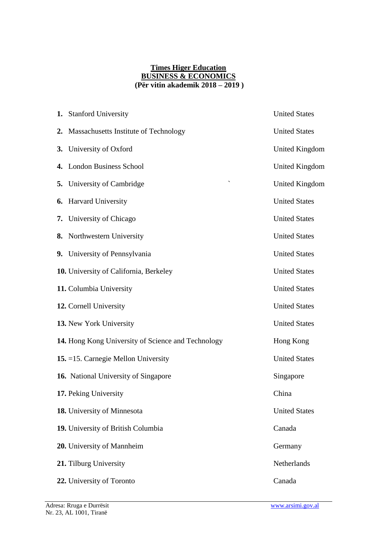#### **Times Higer Education BUSINESS & ECONOMICS (Për vitin akademik 2018 – 2019 )**

| 1. Stanford University                             | <b>United States</b>  |
|----------------------------------------------------|-----------------------|
| 2. Massachusetts Institute of Technology           | <b>United States</b>  |
| 3. University of Oxford                            | <b>United Kingdom</b> |
| 4. London Business School                          | <b>United Kingdom</b> |
| <b>5.</b> University of Cambridge                  | United Kingdom        |
| 6. Harvard University                              | <b>United States</b>  |
| 7. University of Chicago                           | <b>United States</b>  |
| 8. Northwestern University                         | <b>United States</b>  |
| 9. University of Pennsylvania                      | <b>United States</b>  |
| 10. University of California, Berkeley             | <b>United States</b>  |
| 11. Columbia University                            | <b>United States</b>  |
| 12. Cornell University                             | <b>United States</b>  |
| 13. New York University                            | <b>United States</b>  |
| 14. Hong Kong University of Science and Technology | Hong Kong             |
| 15. = 15. Carnegie Mellon University               | <b>United States</b>  |
| 16. National University of Singapore               | Singapore             |
| 17. Peking University                              | China                 |
| 18. University of Minnesota                        | <b>United States</b>  |
| 19. University of British Columbia                 | Canada                |
| 20. University of Mannheim                         | Germany               |
| 21. Tilburg University                             | Netherlands           |
| 22. University of Toronto                          | Canada                |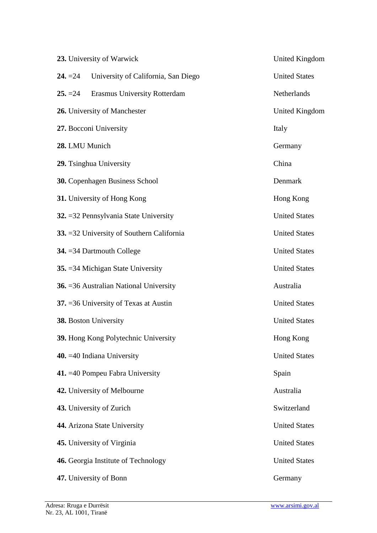|                | 23. University of Warwick                      | United Kingdom       |
|----------------|------------------------------------------------|----------------------|
| $24. = 24$     | University of California, San Diego            | <b>United States</b> |
| $25. = 24$     | <b>Erasmus University Rotterdam</b>            | Netherlands          |
|                | 26. University of Manchester                   | United Kingdom       |
|                | 27. Bocconi University                         | Italy                |
| 28. LMU Munich |                                                | Germany              |
|                | 29. Tsinghua University                        | China                |
|                | 30. Copenhagen Business School                 | Denmark              |
|                | <b>31.</b> University of Hong Kong             | Hong Kong            |
|                | 32. = 32 Pennsylvania State University         | <b>United States</b> |
|                | 33. = 32 University of Southern California     | <b>United States</b> |
|                | 34. $=$ 34 Dartmouth College                   | <b>United States</b> |
|                | 35. = 34 Michigan State University             | <b>United States</b> |
|                | <b>36.</b> = 36 Australian National University | Australia            |
|                | 37. = 36 University of Texas at Austin         | <b>United States</b> |
|                | <b>38.</b> Boston University                   | <b>United States</b> |
|                | 39. Hong Kong Polytechnic University           | Hong Kong            |
|                | 40. $=40$ Indiana University                   | <b>United States</b> |
|                | 41. $=40$ Pompeu Fabra University              | Spain                |
|                | 42. University of Melbourne                    | Australia            |
|                | 43. University of Zurich                       | Switzerland          |
|                | 44. Arizona State University                   | <b>United States</b> |
|                | 45. University of Virginia                     | <b>United States</b> |
|                | 46. Georgia Institute of Technology            | <b>United States</b> |
|                | 47. University of Bonn                         | Germany              |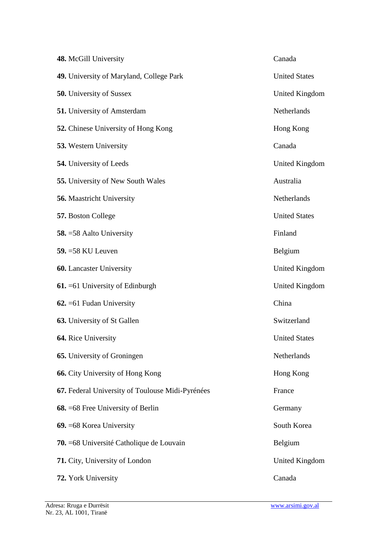| 48. McGill University                            | Canada               |
|--------------------------------------------------|----------------------|
| 49. University of Maryland, College Park         | <b>United States</b> |
| <b>50.</b> University of Sussex                  | United Kingdom       |
| <b>51.</b> University of Amsterdam               | Netherlands          |
| <b>52.</b> Chinese University of Hong Kong       | Hong Kong            |
| <b>53.</b> Western University                    | Canada               |
| <b>54.</b> University of Leeds                   | United Kingdom       |
| 55. University of New South Wales                | Australia            |
| <b>56.</b> Maastricht University                 | Netherlands          |
| 57. Boston College                               | <b>United States</b> |
| <b>58.</b> = 58 Aalto University                 | Finland              |
| 59. = 58 KU Leuven                               | Belgium              |
| <b>60.</b> Lancaster University                  | United Kingdom       |
| $61. = 61$ University of Edinburgh               | United Kingdom       |
| $62. = 61$ Fudan University                      | China                |
| <b>63.</b> University of St Gallen               | Switzerland          |
| 64. Rice University                              | <b>United States</b> |
| <b>65.</b> University of Groningen               | Netherlands          |
| 66. City University of Hong Kong                 | Hong Kong            |
| 67. Federal University of Toulouse Midi-Pyrénées | France               |
| <b>68.</b> = 68 Free University of Berlin        | Germany              |
| 69. = 68 Korea University                        | South Korea          |
| 70. = 68 Université Catholique de Louvain        | Belgium              |
| <b>71.</b> City, University of London            | United Kingdom       |
| 72. York University                              | Canada               |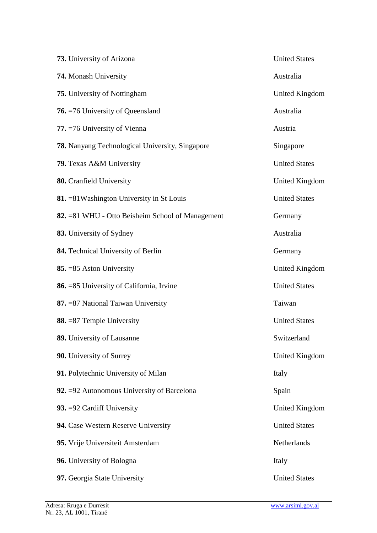| 73. University of Arizona                               | <b>United States</b> |
|---------------------------------------------------------|----------------------|
| 74. Monash University                                   | Australia            |
| <b>75.</b> University of Nottingham                     | United Kingdom       |
| <b>76.</b> = 76 University of Queensland                | Australia            |
| 77. = 76 University of Vienna                           | Austria              |
| <b>78.</b> Nanyang Technological University, Singapore  | Singapore            |
| 79. Texas A&M University                                | <b>United States</b> |
| 80. Cranfield University                                | United Kingdom       |
| 81. = 81 Washington University in St Louis              | <b>United States</b> |
| <b>82.</b> =81 WHU - Otto Beisheim School of Management | Germany              |
| 83. University of Sydney                                | Australia            |
| 84. Technical University of Berlin                      | Germany              |
| 85. = 85 Aston University                               | United Kingdom       |
| 86. = 85 University of California, Irvine               | <b>United States</b> |
| 87. = 87 National Taiwan University                     | Taiwan               |
| 88. = 87 Temple University                              | <b>United States</b> |
| 89. University of Lausanne                              | Switzerland          |
| <b>90.</b> University of Surrey                         | United Kingdom       |
| 91. Polytechnic University of Milan                     | Italy                |
| 92. $=$ 92 Autonomous University of Barcelona           | Spain                |
| 93. = 92 Cardiff University                             | United Kingdom       |
| 94. Case Western Reserve University                     | <b>United States</b> |
| 95. Vrije Universiteit Amsterdam                        | Netherlands          |
| 96. University of Bologna                               | Italy                |
| 97. Georgia State University                            | <b>United States</b> |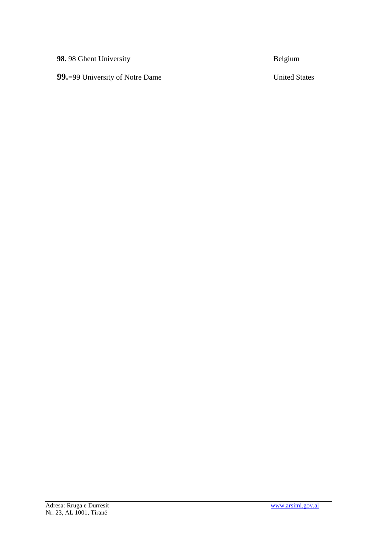**98.** 98 Ghent University Belgium

**99.**=99 University of Notre Dame United States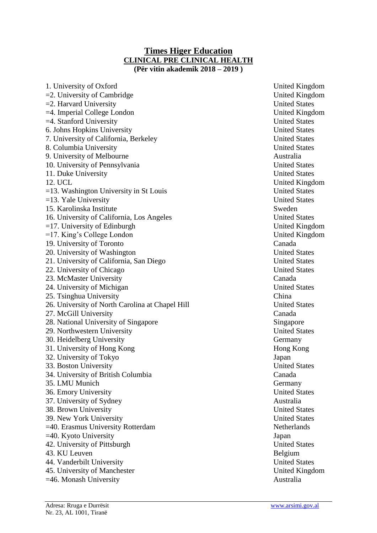### **Times Higer Education CLINICAL PRE CLINICAL HEALTH (Për vitin akademik 2018 – 2019 )**

1. University of Oxford United Kingdom  $=$  2. University of Cambridge United Kingdom =2. Harvard University United States =4. Imperial College London United Kingdom =4. Stanford University United States 6. Johns Hopkins University United States 7. University of California, Berkeley United States 8. Columbia University **Example 2.1 States** United States 9. University of Melbourne Australia 10. University of Pennsylvania United States 11. Duke University United States 12. UCL United Kingdom =13. Washington University in St Louis United States =13. Yale University United States 15. Karolinska Institute Sweden 16. University of California, Los Angeles United States  $=17$ . University of Edinburgh United Kingdom =17. King's College London United Kingdom 19. University of Toronto Canada 20. University of Washington United States 21. University of California, San Diego United States 22. University of Chicago United States 23. McMaster University Canada 24. University of Michigan United States<br>
25 Tsinghua University<br>
China 25. Tsinghua University 26. University of North Carolina at Chapel Hill United States 27. McGill University Canada 28. National University of Singapore Singapore Singapore 29. Northwestern University United States 30. Heidelberg University Germany 31. University of Hong Kong **Hong Kong** 32. University of Tokyo Japan 33. Boston University United States 34. University of British Columbia Canada 35. LMU Munich Germany 36. Emory University United States 37. University of Sydney Australia 38. Brown University United States 39. New York University United States =40. Erasmus University Rotterdam Netherlands =40. Kyoto University Japan 42. University of Pittsburgh United States 43. KU Leuven Belgium 44. Vanderbilt University United States 45. University of Manchester United Kingdom  $=46.$  Monash University Australia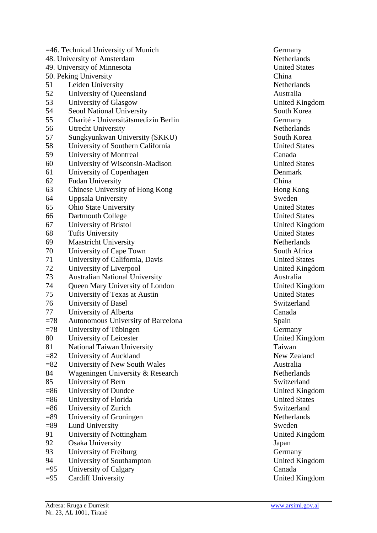|        | $=46$ . Technical University of Munich | Germany               |
|--------|----------------------------------------|-----------------------|
|        | 48. University of Amsterdam            | Netherlands           |
|        | 49. University of Minnesota            | <b>United States</b>  |
|        | 50. Peking University                  | China                 |
| 51     | Leiden University                      | <b>Netherlands</b>    |
| 52     | University of Queensland               | Australia             |
| 53     | University of Glasgow                  | <b>United Kingdom</b> |
| 54     | Seoul National University              | South Korea           |
| 55     | Charité - Universitätsmedizin Berlin   | Germany               |
| 56     | <b>Utrecht University</b>              | <b>Netherlands</b>    |
| 57     | Sungkyunkwan University (SKKU)         | South Korea           |
| 58     | University of Southern California      | <b>United States</b>  |
| 59     | University of Montreal                 | Canada                |
| 60     | University of Wisconsin-Madison        | <b>United States</b>  |
| 61     | University of Copenhagen               | Denmark               |
| 62     | <b>Fudan University</b>                | China                 |
| 63     | Chinese University of Hong Kong        | Hong Kong             |
| 64     | Uppsala University                     | Sweden                |
| 65     | <b>Ohio State University</b>           | <b>United States</b>  |
| 66     | Dartmouth College                      | <b>United States</b>  |
| 67     | University of Bristol                  | <b>United Kingdom</b> |
| 68     | <b>Tufts University</b>                | <b>United States</b>  |
| 69     | <b>Maastricht University</b>           | Netherlands           |
| 70     | University of Cape Town                | South Africa          |
| 71     | University of California, Davis        | <b>United States</b>  |
| 72     | University of Liverpool                | <b>United Kingdom</b> |
| 73     | <b>Australian National University</b>  | Australia             |
| 74     | Queen Mary University of London        | United Kingdom        |
| 75     | University of Texas at Austin          | <b>United States</b>  |
| 76     | University of Basel                    | Switzerland           |
| 77     | University of Alberta                  | Canada                |
| $=78$  | Autonomous University of Barcelona     | Spain                 |
| $=78$  | University of Tübingen                 | Germany               |
| 80     | University of Leicester                | <b>United Kingdom</b> |
| 81     | <b>National Taiwan University</b>      | Taiwan                |
| $=82$  | University of Auckland                 | New Zealand           |
| $=82$  | University of New South Wales          | Australia             |
| 84     | Wageningen University & Research       | <b>Netherlands</b>    |
| 85     | University of Bern                     | Switzerland           |
| $= 86$ | University of Dundee                   | <b>United Kingdom</b> |
| $= 86$ | University of Florida                  | <b>United States</b>  |
| $= 86$ | University of Zurich                   | Switzerland           |
| $=89$  | University of Groningen                | Netherlands           |
| $=89$  | Lund University                        | Sweden                |
| 91     | University of Nottingham               | United Kingdom        |
| 92     | <b>Osaka University</b>                | Japan                 |
| 93     | University of Freiburg                 | Germany               |
| 94     | University of Southampton              | United Kingdom        |
| $=95$  | University of Calgary                  | Canada                |
| $=95$  | <b>Cardiff University</b>              | <b>United Kingdom</b> |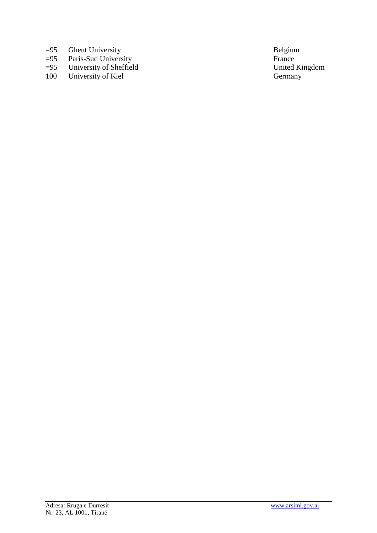- 
- =95 Ghent University<br>
=95 Paris-Sud University<br>
France =95 Paris-Sud University France
- =95 University of Sheffield United Kingdom
- 100 University of Kiel Germany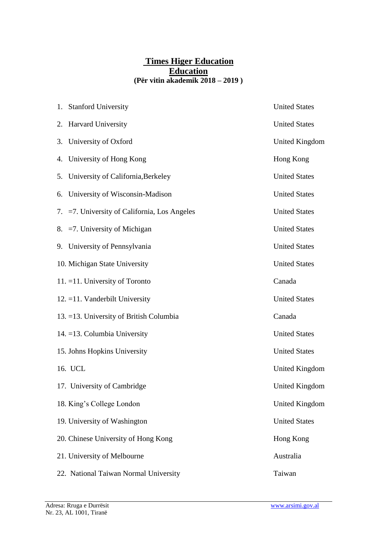# **Times Higer Education Education (Për vitin akademik 2018 – 2019 )**

|    | 1. Stanford University                          | <b>United States</b>  |
|----|-------------------------------------------------|-----------------------|
|    | 2. Harvard University                           | <b>United States</b>  |
|    | 3. University of Oxford                         | United Kingdom        |
|    | 4. University of Hong Kong                      | Hong Kong             |
|    | 5. University of California, Berkeley           | <b>United States</b>  |
| 6. | University of Wisconsin-Madison                 | <b>United States</b>  |
|    | 7. $=7$ . University of California, Los Angeles | <b>United States</b>  |
|    | 8. = 7. University of Michigan                  | <b>United States</b>  |
|    | 9. University of Pennsylvania                   | <b>United States</b>  |
|    | 10. Michigan State University                   | <b>United States</b>  |
|    | 11. $=$ 11. University of Toronto               | Canada                |
|    | 12. = 11. Vanderbilt University                 | <b>United States</b>  |
|    | 13. = 13. University of British Columbia        | Canada                |
|    | 14. = 13. Columbia University                   | <b>United States</b>  |
|    | 15. Johns Hopkins University                    | <b>United States</b>  |
|    | 16. UCL                                         | <b>United Kingdom</b> |
|    | 17. University of Cambridge                     | <b>United Kingdom</b> |
|    | 18. King's College London                       | United Kingdom        |
|    | 19. University of Washington                    | <b>United States</b>  |
|    | 20. Chinese University of Hong Kong             | Hong Kong             |
|    | 21. University of Melbourne                     | Australia             |
|    | 22. National Taiwan Normal University           | Taiwan                |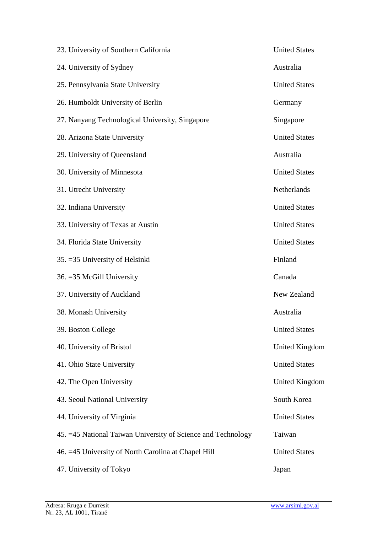| 23. University of Southern California                         | <b>United States</b> |
|---------------------------------------------------------------|----------------------|
| 24. University of Sydney                                      | Australia            |
| 25. Pennsylvania State University                             | <b>United States</b> |
| 26. Humboldt University of Berlin                             | Germany              |
| 27. Nanyang Technological University, Singapore               | Singapore            |
| 28. Arizona State University                                  | <b>United States</b> |
| 29. University of Queensland                                  | Australia            |
| 30. University of Minnesota                                   | <b>United States</b> |
| 31. Utrecht University                                        | Netherlands          |
| 32. Indiana University                                        | <b>United States</b> |
| 33. University of Texas at Austin                             | <b>United States</b> |
| 34. Florida State University                                  | <b>United States</b> |
| 35. = 35 University of Helsinki                               | Finland              |
| 36. = 35 McGill University                                    | Canada               |
| 37. University of Auckland                                    | New Zealand          |
| 38. Monash University                                         | Australia            |
| 39. Boston College                                            | <b>United States</b> |
| 40. University of Bristol                                     | United Kingdom       |
| 41. Ohio State University                                     | <b>United States</b> |
| 42. The Open University                                       | United Kingdom       |
| 43. Seoul National University                                 | South Korea          |
| 44. University of Virginia                                    | <b>United States</b> |
| 45. = 45 National Taiwan University of Science and Technology | Taiwan               |
| 46. = 45 University of North Carolina at Chapel Hill          | <b>United States</b> |
| 47. University of Tokyo                                       | Japan                |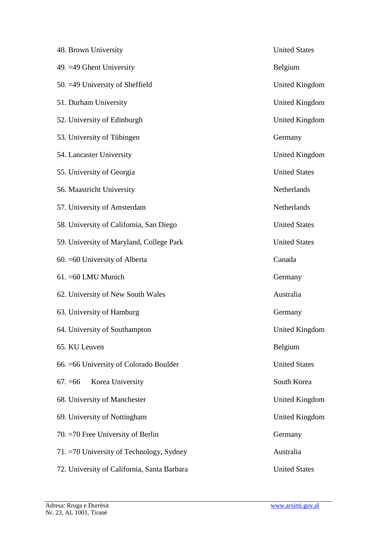| 48. Brown University                        | <b>United States</b>  |
|---------------------------------------------|-----------------------|
| 49. $=49$ Ghent University                  | Belgium               |
| 50. = 49 University of Sheffield            | United Kingdom        |
| 51. Durham University                       | <b>United Kingdom</b> |
| 52. University of Edinburgh                 | <b>United Kingdom</b> |
| 53. University of Tübingen                  | Germany               |
| 54. Lancaster University                    | United Kingdom        |
| 55. University of Georgia                   | <b>United States</b>  |
| 56. Maastricht University                   | <b>Netherlands</b>    |
| 57. University of Amsterdam                 | <b>Netherlands</b>    |
| 58. University of California, San Diego     | <b>United States</b>  |
| 59. University of Maryland, College Park    | <b>United States</b>  |
| 60. = 60 University of Alberta              | Canada                |
| 61. = 60 LMU Munich                         | Germany               |
| 62. University of New South Wales           | Australia             |
| 63. University of Hamburg                   | Germany               |
| 64. University of Southampton               | <b>United Kingdom</b> |
| 65. KU Leuven                               | Belgium               |
| 66. = 66 University of Colorado Boulder     | <b>United States</b>  |
| Korea University<br>$67. = 66$              | South Korea           |
| 68. University of Manchester                | United Kingdom        |
| 69. University of Nottingham                | United Kingdom        |
| 70. $=$ 70 Free University of Berlin        | Germany               |
| 71. = 70 University of Technology, Sydney   | Australia             |
| 72. University of California, Santa Barbara | <b>United States</b>  |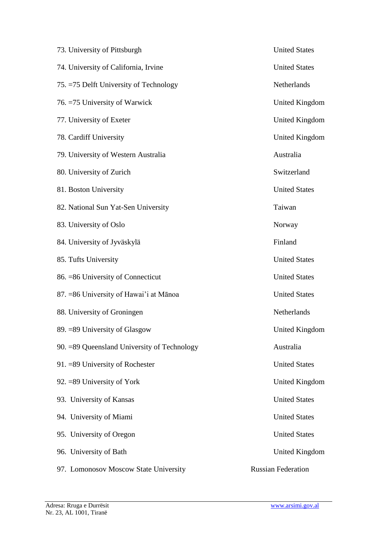| 73. University of Pittsburgh                 | <b>United States</b>      |
|----------------------------------------------|---------------------------|
| 74. University of California, Irvine         | <b>United States</b>      |
| 75. = 75 Delft University of Technology      | Netherlands               |
| 76. = 75 University of Warwick               | United Kingdom            |
| 77. University of Exeter                     | United Kingdom            |
| 78. Cardiff University                       | United Kingdom            |
| 79. University of Western Australia          | Australia                 |
| 80. University of Zurich                     | Switzerland               |
| 81. Boston University                        | <b>United States</b>      |
| 82. National Sun Yat-Sen University          | Taiwan                    |
| 83. University of Oslo                       | Norway                    |
| 84. University of Jyväskylä                  | Finland                   |
| 85. Tufts University                         | <b>United States</b>      |
| 86. = 86 University of Connecticut           | <b>United States</b>      |
| 87. = 86 University of Hawai'i at Mānoa      | <b>United States</b>      |
| 88. University of Groningen                  | <b>Netherlands</b>        |
| 89. = 89 University of Glasgow               | United Kingdom            |
| 90. = 89 Queensland University of Technology | Australia                 |
| 91. = 89 University of Rochester             | <b>United States</b>      |
| 92. = 89 University of York                  | United Kingdom            |
| 93. University of Kansas                     | <b>United States</b>      |
| 94. University of Miami                      | <b>United States</b>      |
| 95. University of Oregon                     | <b>United States</b>      |
| 96. University of Bath                       | United Kingdom            |
| 97. Lomonosov Moscow State University        | <b>Russian Federation</b> |